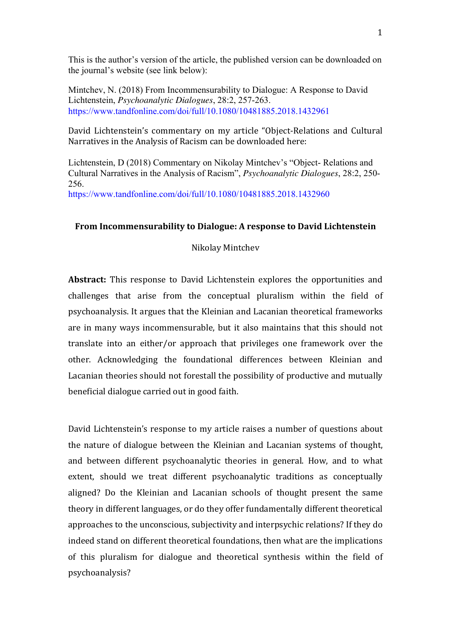This is the author's version of the article, the published version can be downloaded on the journal's website (see link below):

Mintchev, N. (2018) From Incommensurability to Dialogue: A Response to David Lichtenstein, *Psychoanalytic Dialogues*, 28:2, 257-263. https://www.tandfonline.com/doi/full/10.1080/10481885.2018.1432961

David Lichtenstein's commentary on my article "Object-Relations and Cultural Narratives in the Analysis of Racism can be downloaded here:

Lichtenstein, D (2018) Commentary on Nikolay Mintchev's "Object- Relations and Cultural Narratives in the Analysis of Racism", *Psychoanalytic Dialogues*, 28:2, 250- 256.

https://www.tandfonline.com/doi/full/10.1080/10481885.2018.1432960

#### **From Incommensurability to Dialogue: A response to David Lichtenstein**

# Nikolay Mintchev

**Abstract:** This response to David Lichtenstein explores the opportunities and challenges that arise from the conceptual pluralism within the field of psychoanalysis. It argues that the Kleinian and Lacanian theoretical frameworks are in many ways incommensurable, but it also maintains that this should not translate into an either/or approach that privileges one framework over the other. Acknowledging the foundational differences between Kleinian and Lacanian theories should not forestall the possibility of productive and mutually beneficial dialogue carried out in good faith.

David Lichtenstein's response to my article raises a number of questions about the nature of dialogue between the Kleinian and Lacanian systems of thought, and between different psychoanalytic theories in general. How, and to what extent, should we treat different psychoanalytic traditions as conceptually aligned? Do the Kleinian and Lacanian schools of thought present the same theory in different languages, or do they offer fundamentally different theoretical approaches to the unconscious, subjectivity and interpsychic relations? If they do indeed stand on different theoretical foundations, then what are the implications of this pluralism for dialogue and theoretical synthesis within the field of psychoanalysis?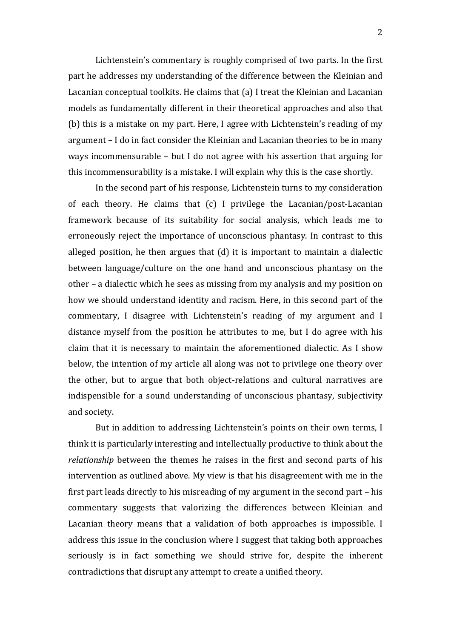Lichtenstein's commentary is roughly comprised of two parts. In the first part he addresses my understanding of the difference between the Kleinian and Lacanian conceptual toolkits. He claims that (a) I treat the Kleinian and Lacanian models as fundamentally different in their theoretical approaches and also that (b) this is a mistake on my part. Here, I agree with Lichtenstein's reading of my argument  $-$  I do in fact consider the Kleinian and Lacanian theories to be in many ways incommensurable  $-$  but I do not agree with his assertion that arguing for this incommensurability is a mistake. I will explain why this is the case shortly.

In the second part of his response, Lichtenstein turns to my consideration of each theory. He claims that  $(c)$  I privilege the Lacanian/post-Lacanian framework because of its suitability for social analysis, which leads me to erroneously reject the importance of unconscious phantasy. In contrast to this alleged position, he then argues that  $(d)$  it is important to maintain a dialectic between language/culture on the one hand and unconscious phantasy on the other – a dialectic which he sees as missing from my analysis and my position on how we should understand identity and racism. Here, in this second part of the commentary, I disagree with Lichtenstein's reading of my argument and I distance myself from the position he attributes to me, but I do agree with his claim that it is necessary to maintain the aforementioned dialectic. As I show below, the intention of my article all along was not to privilege one theory over the other, but to argue that both object-relations and cultural narratives are indispensible for a sound understanding of unconscious phantasy, subjectivity and society.

But in addition to addressing Lichtenstein's points on their own terms, I think it is particularly interesting and intellectually productive to think about the *relationship* between the themes he raises in the first and second parts of his intervention as outlined above. My view is that his disagreement with me in the first part leads directly to his misreading of my argument in the second part  $-$  his commentary suggests that valorizing the differences between Kleinian and Lacanian theory means that a validation of both approaches is impossible. I address this issue in the conclusion where I suggest that taking both approaches seriously is in fact something we should strive for, despite the inherent contradictions that disrupt any attempt to create a unified theory.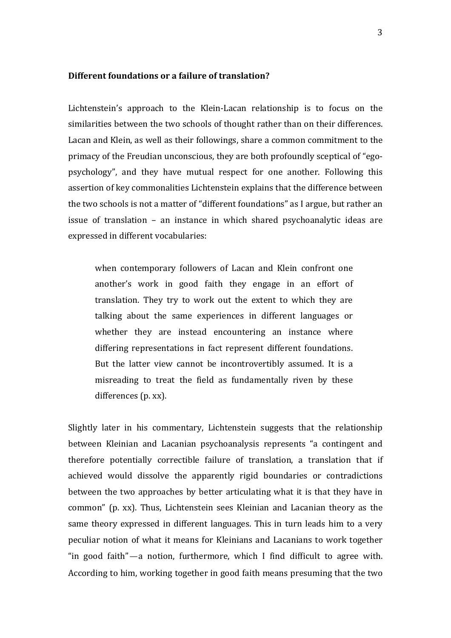## **Different foundations or a failure of translation?**

Lichtenstein's approach to the Klein-Lacan relationship is to focus on the similarities between the two schools of thought rather than on their differences. Lacan and Klein, as well as their followings, share a common commitment to the primacy of the Freudian unconscious, they are both profoundly sceptical of "egopsychology", and they have mutual respect for one another. Following this assertion of key commonalities Lichtenstein explains that the difference between the two schools is not a matter of "different foundations" as I argue, but rather an issue of translation  $-$  an instance in which shared psychoanalytic ideas are expressed in different vocabularies:

when contemporary followers of Lacan and Klein confront one another's work in good faith they engage in an effort of translation. They try to work out the extent to which they are talking about the same experiences in different languages or whether they are instead encountering an instance where differing representations in fact represent different foundations. But the latter view cannot be incontrovertibly assumed. It is a misreading to treat the field as fundamentally riven by these differences (p. xx).

Slightly later in his commentary, Lichtenstein suggests that the relationship between Kleinian and Lacanian psychoanalysis represents "a contingent and therefore potentially correctible failure of translation, a translation that if achieved would dissolve the apparently rigid boundaries or contradictions between the two approaches by better articulating what it is that they have in common" (p. xx). Thus, Lichtenstein sees Kleinian and Lacanian theory as the same theory expressed in different languages. This in turn leads him to a very peculiar notion of what it means for Kleinians and Lacanians to work together "in good faith"—a notion, furthermore, which I find difficult to agree with. According to him, working together in good faith means presuming that the two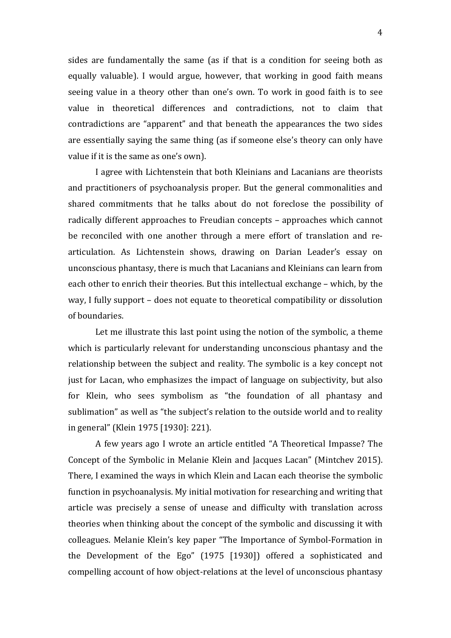sides are fundamentally the same (as if that is a condition for seeing both as equally valuable). I would argue, however, that working in good faith means seeing value in a theory other than one's own. To work in good faith is to see value in theoretical differences and contradictions, not to claim that contradictions are "apparent" and that beneath the appearances the two sides are essentially saying the same thing (as if someone else's theory can only have value if it is the same as one's own).

I agree with Lichtenstein that both Kleinians and Lacanians are theorists and practitioners of psychoanalysis proper. But the general commonalities and shared commitments that he talks about do not foreclose the possibility of radically different approaches to Freudian concepts – approaches which cannot be reconciled with one another through a mere effort of translation and rearticulation. As Lichtenstein shows, drawing on Darian Leader's essay on unconscious phantasy, there is much that Lacanians and Kleinians can learn from each other to enrich their theories. But this intellectual exchange – which, by the way, I fully support – does not equate to theoretical compatibility or dissolution of boundaries.

Let me illustrate this last point using the notion of the symbolic, a theme which is particularly relevant for understanding unconscious phantasy and the relationship between the subject and reality. The symbolic is a key concept not just for Lacan, who emphasizes the impact of language on subjectivity, but also for Klein, who sees symbolism as "the foundation of all phantasy and sublimation" as well as "the subject's relation to the outside world and to reality in general" (Klein 1975 [1930]: 221).

A few years ago I wrote an article entitled "A Theoretical Impasse? The Concept of the Symbolic in Melanie Klein and Jacques Lacan" (Mintchev 2015). There, I examined the ways in which Klein and Lacan each theorise the symbolic function in psychoanalysis. My initial motivation for researching and writing that article was precisely a sense of unease and difficulty with translation across theories when thinking about the concept of the symbolic and discussing it with colleagues. Melanie Klein's key paper "The Importance of Symbol-Formation in the Development of the Ego" (1975 [1930]) offered a sophisticated and compelling account of how object-relations at the level of unconscious phantasy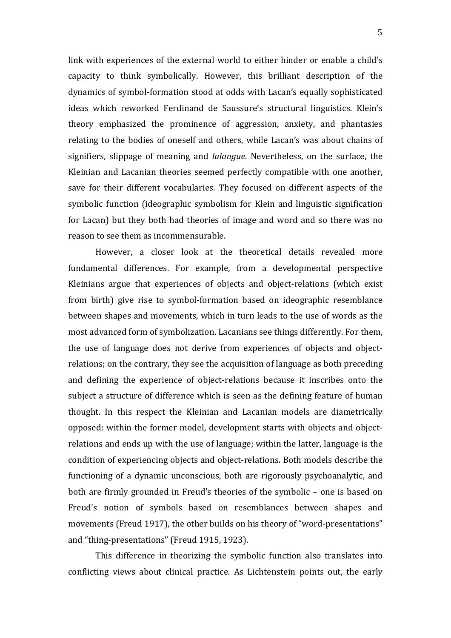link with experiences of the external world to either hinder or enable a child's capacity to think symbolically. However, this brilliant description of the dynamics of symbol-formation stood at odds with Lacan's equally sophisticated ideas which reworked Ferdinand de Saussure's structural linguistics. Klein's theory emphasized the prominence of aggression, anxiety, and phantasies relating to the bodies of oneself and others, while Lacan's was about chains of signifiers, slippage of meaning and *lalangue*. Nevertheless, on the surface, the Kleinian and Lacanian theories seemed perfectly compatible with one another, save for their different vocabularies. They focused on different aspects of the symbolic function (ideographic symbolism for Klein and linguistic signification for Lacan) but they both had theories of image and word and so there was no reason to see them as incommensurable.

However, a closer look at the theoretical details revealed more fundamental differences. For example, from a developmental perspective Kleinians argue that experiences of objects and object-relations (which exist from birth) give rise to symbol-formation based on ideographic resemblance between shapes and movements, which in turn leads to the use of words as the most advanced form of symbolization. Lacanians see things differently. For them, the use of language does not derive from experiences of objects and objectrelations; on the contrary, they see the acquisition of language as both preceding and defining the experience of object-relations because it inscribes onto the subject a structure of difference which is seen as the defining feature of human thought. In this respect the Kleinian and Lacanian models are diametrically opposed: within the former model, development starts with objects and objectrelations and ends up with the use of language; within the latter, language is the condition of experiencing objects and object-relations. Both models describe the functioning of a dynamic unconscious, both are rigorously psychoanalytic, and both are firmly grounded in Freud's theories of the symbolic – one is based on Freud's notion of symbols based on resemblances between shapes and movements (Freud 1917), the other builds on his theory of "word-presentations" and "thing-presentations" (Freud 1915, 1923).

This difference in theorizing the symbolic function also translates into conflicting views about clinical practice. As Lichtenstein points out, the early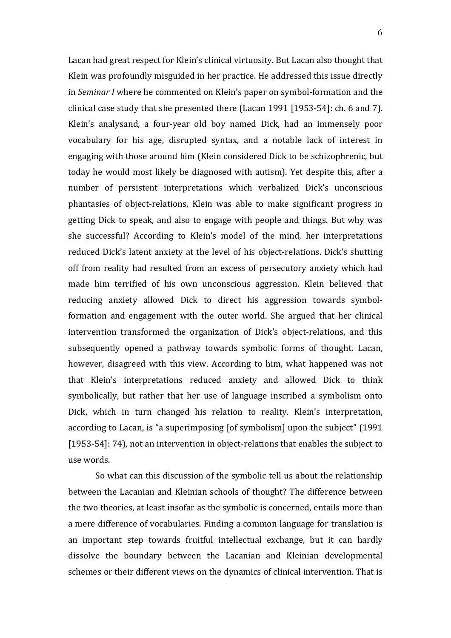Lacan had great respect for Klein's clinical virtuosity. But Lacan also thought that Klein was profoundly misguided in her practice. He addressed this issue directly in *Seminar I* where he commented on Klein's paper on symbol-formation and the clinical case study that she presented there (Lacan 1991 [1953-54]: ch. 6 and 7). Klein's analysand, a four-year old boy named Dick, had an immensely poor vocabulary for his age, disrupted syntax, and a notable lack of interest in engaging with those around him (Klein considered Dick to be schizophrenic, but today he would most likely be diagnosed with autism). Yet despite this, after a number of persistent interpretations which verbalized Dick's unconscious phantasies of object-relations, Klein was able to make significant progress in getting Dick to speak, and also to engage with people and things. But why was she successful? According to Klein's model of the mind, her interpretations reduced Dick's latent anxiety at the level of his object-relations. Dick's shutting off from reality had resulted from an excess of persecutory anxiety which had made him terrified of his own unconscious aggression. Klein believed that reducing anxiety allowed Dick to direct his aggression towards symbolformation and engagement with the outer world. She argued that her clinical intervention transformed the organization of Dick's object-relations, and this subsequently opened a pathway towards symbolic forms of thought. Lacan, however, disagreed with this view. According to him, what happened was not that Klein's interpretations reduced anxiety and allowed Dick to think symbolically, but rather that her use of language inscribed a symbolism onto Dick, which in turn changed his relation to reality. Klein's interpretation, according to Lacan, is "a superimposing [of symbolism] upon the subject" (1991) [1953-54]: 74], not an intervention in object-relations that enables the subject to use words.

So what can this discussion of the symbolic tell us about the relationship between the Lacanian and Kleinian schools of thought? The difference between the two theories, at least insofar as the symbolic is concerned, entails more than a mere difference of vocabularies. Finding a common language for translation is an important step towards fruitful intellectual exchange, but it can hardly dissolve the boundary between the Lacanian and Kleinian developmental schemes or their different views on the dynamics of clinical intervention. That is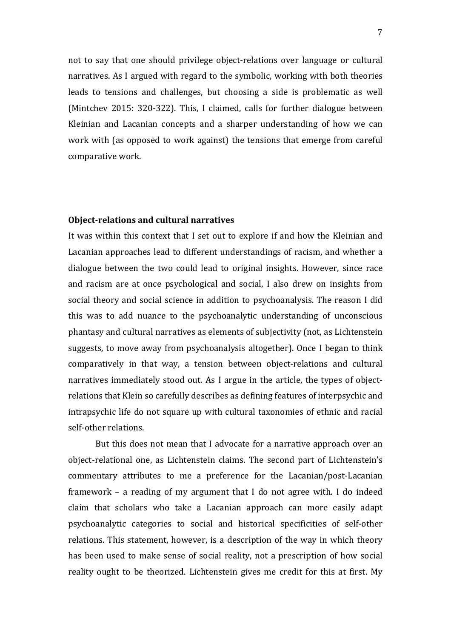not to say that one should privilege object-relations over language or cultural narratives. As I argued with regard to the symbolic, working with both theories leads to tensions and challenges, but choosing a side is problematic as well (Mintchev 2015: 320-322). This, I claimed, calls for further dialogue between Kleinian and Lacanian concepts and a sharper understanding of how we can work with (as opposed to work against) the tensions that emerge from careful comparative work.

## **Object-relations and cultural narratives**

It was within this context that I set out to explore if and how the Kleinian and Lacanian approaches lead to different understandings of racism, and whether a dialogue between the two could lead to original insights. However, since race and racism are at once psychological and social, I also drew on insights from social theory and social science in addition to psychoanalysis. The reason I did this was to add nuance to the psychoanalytic understanding of unconscious phantasy and cultural narratives as elements of subjectivity (not, as Lichtenstein suggests, to move away from psychoanalysis altogether). Once I began to think comparatively in that way, a tension between object-relations and cultural narratives immediately stood out. As I argue in the article, the types of objectrelations that Klein so carefully describes as defining features of interpsychic and intrapsychic life do not square up with cultural taxonomies of ethnic and racial self-other relations.

But this does not mean that I advocate for a narrative approach over an object-relational one, as Lichtenstein claims. The second part of Lichtenstein's commentary attributes to me a preference for the Lacanian/post-Lacanian framework  $-$  a reading of my argument that I do not agree with. I do indeed claim that scholars who take a Lacanian approach can more easily adapt psychoanalytic categories to social and historical specificities of self-other relations. This statement, however, is a description of the way in which theory has been used to make sense of social reality, not a prescription of how social reality ought to be theorized. Lichtenstein gives me credit for this at first. My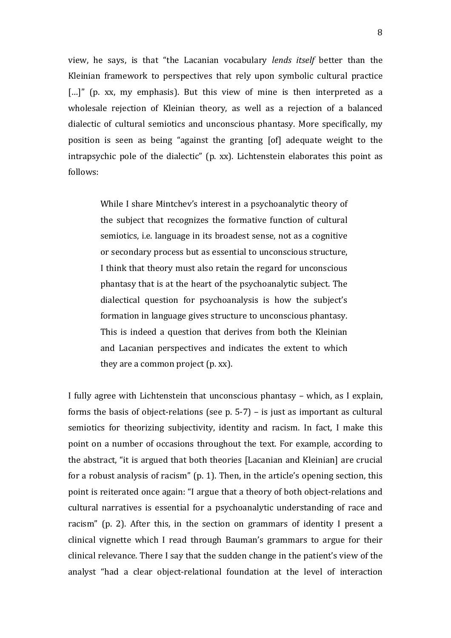view, he says, is that "the Lacanian vocabulary *lends itself* better than the Kleinian framework to perspectives that rely upon symbolic cultural practice [...]" (p. xx, my emphasis). But this view of mine is then interpreted as a wholesale rejection of Kleinian theory, as well as a rejection of a balanced dialectic of cultural semiotics and unconscious phantasy. More specifically, my position is seen as being "against the granting [of] adequate weight to the intrapsychic pole of the dialectic"  $(p. xx)$ . Lichtenstein elaborates this point as follows:

> While I share Mintchev's interest in a psychoanalytic theory of the subject that recognizes the formative function of cultural semiotics, i.e. language in its broadest sense, not as a cognitive or secondary process but as essential to unconscious structure, I think that theory must also retain the regard for unconscious phantasy that is at the heart of the psychoanalytic subject. The dialectical question for psychoanalysis is how the subject's formation in language gives structure to unconscious phantasy. This is indeed a question that derives from both the Kleinian and Lacanian perspectives and indicates the extent to which they are a common project  $(p, xx)$ .

I fully agree with Lichtenstein that unconscious phantasy – which, as I explain, forms the basis of object-relations (see p.  $5-7$ ) – is just as important as cultural semiotics for theorizing subjectivity, identity and racism. In fact, I make this point on a number of occasions throughout the text. For example, according to the abstract, "it is argued that both theories [Lacanian and Kleinian] are crucial for a robust analysis of racism"  $(p. 1)$ . Then, in the article's opening section, this point is reiterated once again: "I argue that a theory of both object-relations and cultural narratives is essential for a psychoanalytic understanding of race and racism" (p. 2). After this, in the section on grammars of identity I present a clinical vignette which I read through Bauman's grammars to argue for their clinical relevance. There I say that the sudden change in the patient's view of the analyst "had a clear object-relational foundation at the level of interaction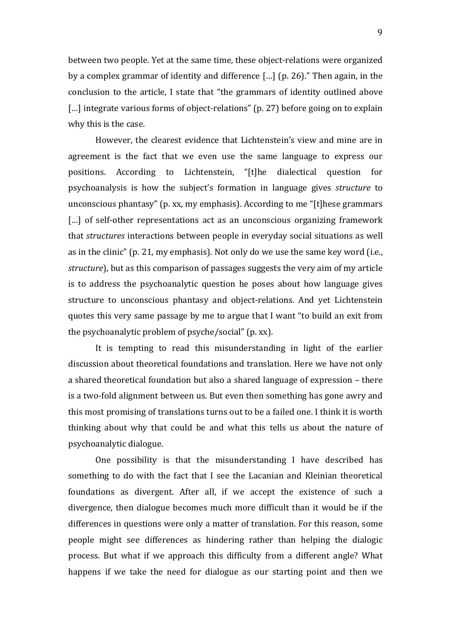between two people. Yet at the same time, these object-relations were organized by a complex grammar of identity and difference  $\lceil \ldots \rceil$  (p. 26)." Then again, in the conclusion to the article, I state that "the grammars of identity outlined above [...] integrate various forms of object-relations" (p. 27) before going on to explain why this is the case.

However, the clearest evidence that Lichtenstein's view and mine are in agreement is the fact that we even use the same language to express our positions. According to Lichtenstein, "[t]he dialectical question for psychoanalysis is how the subject's formation in language gives *structure* to unconscious phantasy" (p. xx, my emphasis). According to me "[t]hese grammars [...] of self-other representations act as an unconscious organizing framework that *structures* interactions between people in everyday social situations as well as in the clinic" (p. 21, my emphasis). Not only do we use the same key word (i.e., *structure*), but as this comparison of passages suggests the very aim of my article is to address the psychoanalytic question he poses about how language gives structure to unconscious phantasy and object-relations. And yet Lichtenstein quotes this very same passage by me to argue that I want "to build an exit from the psychoanalytic problem of psyche/social"  $(p. xx)$ .

It is tempting to read this misunderstanding in light of the earlier discussion about theoretical foundations and translation. Here we have not only a shared theoretical foundation but also a shared language of expression – there is a two-fold alignment between us. But even then something has gone awry and this most promising of translations turns out to be a failed one. I think it is worth thinking about why that could be and what this tells us about the nature of psychoanalytic dialogue.

One possibility is that the misunderstanding I have described has something to do with the fact that I see the Lacanian and Kleinian theoretical foundations as divergent. After all, if we accept the existence of such a divergence, then dialogue becomes much more difficult than it would be if the differences in questions were only a matter of translation. For this reason, some people might see differences as hindering rather than helping the dialogic process. But what if we approach this difficulty from a different angle? What happens if we take the need for dialogue as our starting point and then we